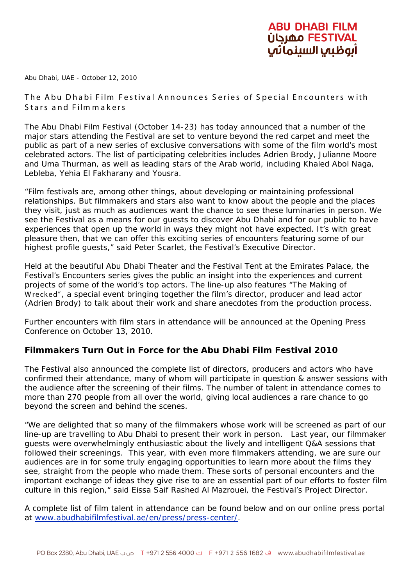## ABU DHABI FILM **OFESTIVAL** مهرجان أبوظبي السينماتي

Abu Dhabi, UAE - October 12, 2010

The Abu Dhabi Film Festival Announces S eries of S pecial Encounters w ith S tars and Film m akers

The Abu Dhabi Film Festival (October 14-23) has today announced that a number of the major stars attending the Festival are set to venture beyond the red carpet and meet the public as part of a new series of exclusive conversations with some of the film world's most celebrated actors. The list of participating celebrities includes Adrien Brody, Julianne Moore and Uma Thurman, as well as leading stars of the Arab world, including Khaled Abol Naga, Lebleba, Yehia El Fakharany and Yousra.

"Film festivals are, among other things, about developing or maintaining professional relationships. But filmmakers and stars also want to know about the people and the places they visit, just as much as audiences want the chance to see these luminaries in person. We see the Festival as a means for our guests to discover Abu Dhabi and for our public to have experiences that open up the world in ways they might not have expected. It's with great pleasure then, that we can offer this exciting series of encounters featuring some of our highest profile guests," said Peter Scarlet, the Festival's Executive Director.

Held at the beautiful Abu Dhabi Theater and the Festival Tent at the Emirates Palace, the Festival's Encounters series gives the public an insight into the experiences and current projects of some of the world's top actors. The line-up also features "The Making of Wrecked", a special event bringing together the film's director, producer and lead actor (Adrien Brody) to talk about their work and share anecdotes from the production process.

Further encounters with film stars in attendance will be announced at the Opening Press Conference on October 13, 2010.

## **Filmmakers Turn Out in Force for the Abu Dhabi Film Festival 2010**

The Festival also announced the complete list of directors, producers and actors who have confirmed their attendance, many of whom will participate in question & answer sessions with the audience after the screening of their films. The number of talent in attendance comes to more than 270 people from all over the world, giving local audiences a rare chance to go beyond the screen and behind the scenes.

"We are delighted that so many of the filmmakers whose work will be screened as part of our line-up are travelling to Abu Dhabi to present their work in person. Last year, our filmmaker guests were overwhelmingly enthusiastic about the lively and intelligent Q&A sessions that followed their screenings. This year, with even more filmmakers attending, we are sure our audiences are in for some truly engaging opportunities to learn more about the films they see, straight from the people who made them. These sorts of personal encounters and the important exchange of ideas they give rise to are an essential part of our efforts to foster film culture in this region," said Eissa Saif Rashed Al Mazrouei, the Festival's Project Director.

A complete list of film talent in attendance can be found below and on our online press portal at [www.abudhabifilmfestival.ae/en/press/press-center/.](http://www.abudhabifilmfestival.ae/en/press/press-center/)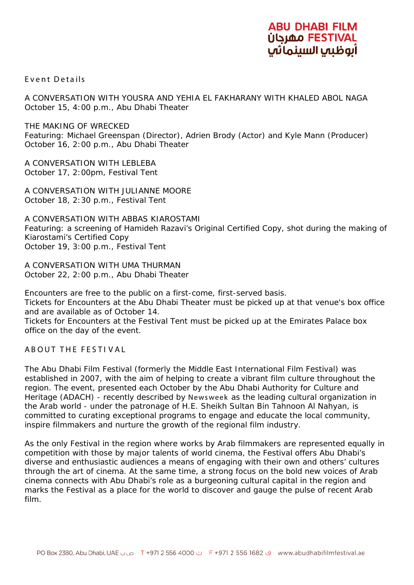

Event Details

A CONVERSATION WITH YOUSRA AND YEHIA EL FAKHARANY WITH KHALED ABOL NAGA October 15, 4:00 p.m., Abu Dhabi Theater

THE MAKING OF *WRECKED* Featuring: Michael Greenspan (Director), Adrien Brody (Actor) and Kyle Mann (Producer) October 16, 2:00 p.m., Abu Dhabi Theater

A CONVERSATION WITH LEBLEBA October 17, 2:00pm, Festival Tent

A CONVERSATION WITH JULIANNE MOORE October 18, 2:30 p.m., Festival Tent

A CONVERSATION WITH ABBAS KIAROSTAMI Featuring: a screening of Hamideh Razavi's *Original Certified Copy*, shot during the making of Kiarostami's *Certified Copy* October 19, 3:00 p.m., Festival Tent

A CONVERSATION WITH UMA THURMAN October 22, 2:00 p.m., Abu Dhabi Theater

Encounters are free to the public on a first-come, first-served basis. Tickets for Encounters at the Abu Dhabi Theater must be picked up at that venue's box office and are available as of October 14.

Tickets for Encounters at the Festival Tent must be picked up at the Emirates Palace box office on the day of the event.

ABOUT THE FESTI VAL

The Abu Dhabi Film Festival (formerly the Middle East International Film Festival) was established in 2007, with the aim of helping to create a vibrant film culture throughout the region. The event, presented each October by the Abu Dhabi Authority for Culture and Heritage (ADACH) - recently described by Newsweek as the leading cultural organization in the Arab world - under the patronage of H.E. Sheikh Sultan Bin Tahnoon Al Nahyan, is committed to curating exceptional programs to engage and educate the local community, inspire filmmakers and nurture the growth of the regional film industry.

As the only Festival in the region where works by Arab filmmakers are represented equally in competition with those by major talents of world cinema, the Festival offers Abu Dhabi's diverse and enthusiastic audiences a means of engaging with their own and others' cultures through the art of cinema. At the same time, a strong focus on the bold new voices of Arab cinema connects with Abu Dhabi's role as a burgeoning cultural capital in the region and marks the Festival as a place for the world to discover and gauge the pulse of recent Arab film.